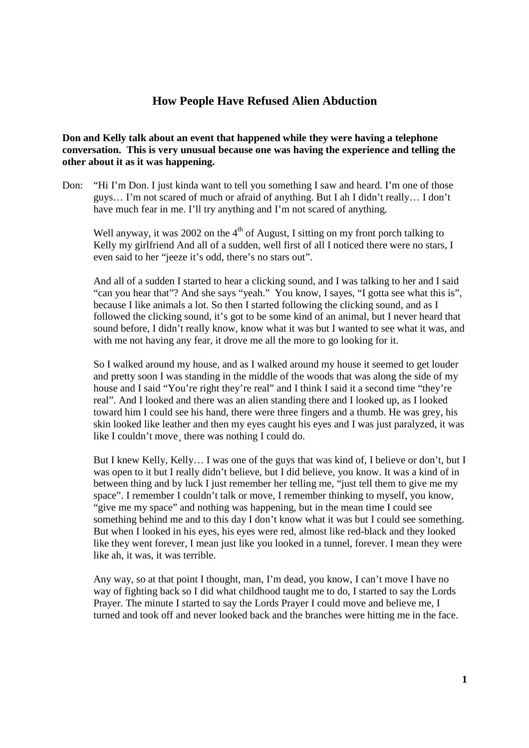## **How People Have Refused Alien Abduction**

**Don and Kelly talk about an event that happened while they were having a telephone conversation. This is very unusual because one was having the experience and telling the other about it as it was happening.** 

Don: "Hi I'm Don. I just kinda want to tell you something I saw and heard. I'm one of those guys… I'm not scared of much or afraid of anything. But I ah I didn't really… I don't have much fear in me. I'll try anything and I'm not scared of anything.

Well anyway, it was 2002 on the  $4<sup>th</sup>$  of August, I sitting on my front porch talking to Kelly my girlfriend And all of a sudden, well first of all I noticed there were no stars, I even said to her "jeeze it's odd, there's no stars out".

And all of a sudden I started to hear a clicking sound, and I was talking to her and I said "can you hear that"? And she says "yeah." You know, I sayes, "I gotta see what this is", because I like animals a lot. So then I started following the clicking sound, and as I followed the clicking sound, it's got to be some kind of an animal, but I never heard that sound before, I didn't really know, know what it was but I wanted to see what it was, and with me not having any fear, it drove me all the more to go looking for it.

So I walked around my house, and as I walked around my house it seemed to get louder and pretty soon I was standing in the middle of the woods that was along the side of my house and I said "You're right they're real" and I think I said it a second time "they're real". And I looked and there was an alien standing there and I looked up, as I looked toward him I could see his hand, there were three fingers and a thumb. He was grey, his skin looked like leather and then my eyes caught his eyes and I was just paralyzed, it was like I couldn't move there was nothing I could do.

But I knew Kelly, Kelly… I was one of the guys that was kind of, I believe or don't, but I was open to it but I really didn't believe, but I did believe, you know. It was a kind of in between thing and by luck I just remember her telling me, "just tell them to give me my space". I remember I couldn't talk or move, I remember thinking to myself, you know, "give me my space" and nothing was happening, but in the mean time I could see something behind me and to this day I don't know what it was but I could see something. But when I looked in his eyes, his eyes were red, almost like red-black and they looked like they went forever, I mean just like you looked in a tunnel, forever. I mean they were like ah, it was, it was terrible.

Any way, so at that point I thought, man, I'm dead, you know, I can't move I have no way of fighting back so I did what childhood taught me to do, I started to say the Lords Prayer. The minute I started to say the Lords Prayer I could move and believe me, I turned and took off and never looked back and the branches were hitting me in the face.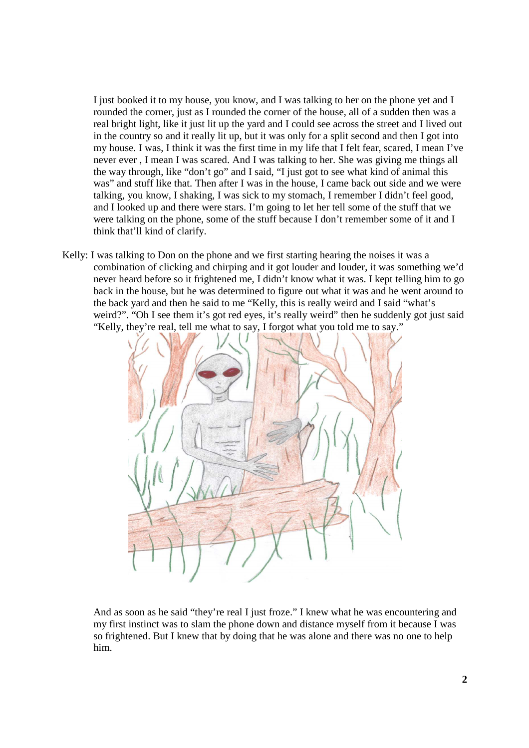I just booked it to my house, you know, and I was talking to her on the phone yet and I rounded the corner, just as I rounded the corner of the house, all of a sudden then was a real bright light, like it just lit up the yard and I could see across the street and I lived out in the country so and it really lit up, but it was only for a split second and then I got into my house. I was, I think it was the first time in my life that I felt fear, scared, I mean I've never ever , I mean I was scared. And I was talking to her. She was giving me things all the way through, like "don't go" and I said, "I just got to see what kind of animal this was" and stuff like that. Then after I was in the house, I came back out side and we were talking, you know, I shaking, I was sick to my stomach, I remember I didn't feel good, and I looked up and there were stars. I'm going to let her tell some of the stuff that we were talking on the phone, some of the stuff because I don't remember some of it and I think that'll kind of clarify.

Kelly: I was talking to Don on the phone and we first starting hearing the noises it was a combination of clicking and chirping and it got louder and louder, it was something we'd never heard before so it frightened me, I didn't know what it was. I kept telling him to go back in the house, but he was determined to figure out what it was and he went around to the back yard and then he said to me "Kelly, this is really weird and I said "what's weird?". "Oh I see them it's got red eyes, it's really weird" then he suddenly got just said "Kelly, they're real, tell me what to say, I forgot what you told me to say."



And as soon as he said "they're real I just froze." I knew what he was encountering and my first instinct was to slam the phone down and distance myself from it because I was so frightened. But I knew that by doing that he was alone and there was no one to help him.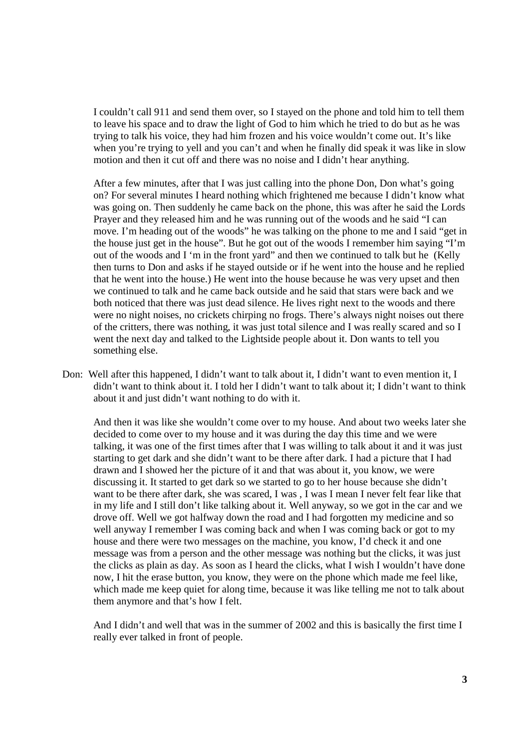I couldn't call 911 and send them over, so I stayed on the phone and told him to tell them to leave his space and to draw the light of God to him which he tried to do but as he was trying to talk his voice, they had him frozen and his voice wouldn't come out. It's like when you're trying to yell and you can't and when he finally did speak it was like in slow motion and then it cut off and there was no noise and I didn't hear anything.

After a few minutes, after that I was just calling into the phone Don, Don what's going on? For several minutes I heard nothing which frightened me because I didn't know what was going on. Then suddenly he came back on the phone, this was after he said the Lords Prayer and they released him and he was running out of the woods and he said "I can move. I'm heading out of the woods" he was talking on the phone to me and I said "get in the house just get in the house". But he got out of the woods I remember him saying "I'm out of the woods and I 'm in the front yard" and then we continued to talk but he (Kelly then turns to Don and asks if he stayed outside or if he went into the house and he replied that he went into the house.) He went into the house because he was very upset and then we continued to talk and he came back outside and he said that stars were back and we both noticed that there was just dead silence. He lives right next to the woods and there were no night noises, no crickets chirping no frogs. There's always night noises out there of the critters, there was nothing, it was just total silence and I was really scared and so I went the next day and talked to the Lightside people about it. Don wants to tell you something else.

Don: Well after this happened, I didn't want to talk about it, I didn't want to even mention it, I didn't want to think about it. I told her I didn't want to talk about it; I didn't want to think about it and just didn't want nothing to do with it.

And then it was like she wouldn't come over to my house. And about two weeks later she decided to come over to my house and it was during the day this time and we were talking, it was one of the first times after that I was willing to talk about it and it was just starting to get dark and she didn't want to be there after dark. I had a picture that I had drawn and I showed her the picture of it and that was about it, you know, we were discussing it. It started to get dark so we started to go to her house because she didn't want to be there after dark, she was scared, I was, I was I mean I never felt fear like that in my life and I still don't like talking about it. Well anyway, so we got in the car and we drove off. Well we got halfway down the road and I had forgotten my medicine and so well anyway I remember I was coming back and when I was coming back or got to my house and there were two messages on the machine, you know, I'd check it and one message was from a person and the other message was nothing but the clicks, it was just the clicks as plain as day. As soon as I heard the clicks, what I wish I wouldn't have done now, I hit the erase button, you know, they were on the phone which made me feel like, which made me keep quiet for along time, because it was like telling me not to talk about them anymore and that's how I felt.

And I didn't and well that was in the summer of 2002 and this is basically the first time I really ever talked in front of people.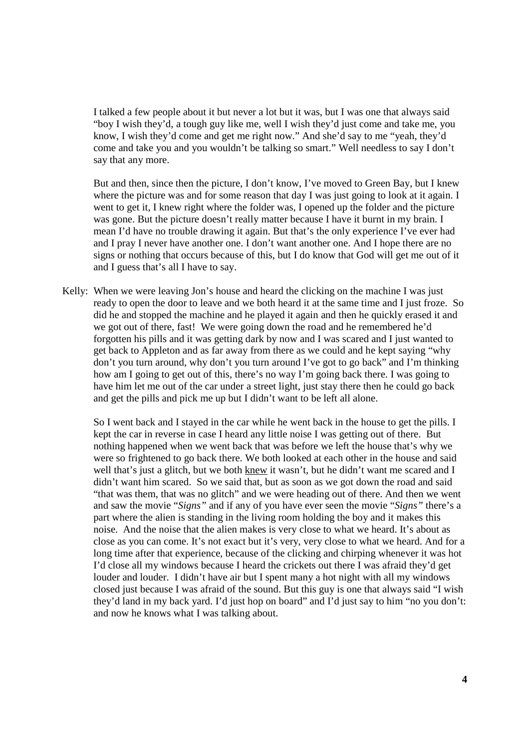I talked a few people about it but never a lot but it was, but I was one that always said "boy I wish they'd, a tough guy like me, well I wish they'd just come and take me, you know, I wish they'd come and get me right now." And she'd say to me "yeah, they'd come and take you and you wouldn't be talking so smart." Well needless to say I don't say that any more.

But and then, since then the picture, I don't know, I've moved to Green Bay, but I knew where the picture was and for some reason that day I was just going to look at it again. I went to get it, I knew right where the folder was, I opened up the folder and the picture was gone. But the picture doesn't really matter because I have it burnt in my brain. I mean I'd have no trouble drawing it again. But that's the only experience I've ever had and I pray I never have another one. I don't want another one. And I hope there are no signs or nothing that occurs because of this, but I do know that God will get me out of it and I guess that's all I have to say.

Kelly: When we were leaving Jon's house and heard the clicking on the machine I was just ready to open the door to leave and we both heard it at the same time and I just froze. So did he and stopped the machine and he played it again and then he quickly erased it and we got out of there, fast! We were going down the road and he remembered he'd forgotten his pills and it was getting dark by now and I was scared and I just wanted to get back to Appleton and as far away from there as we could and he kept saying "why don't you turn around, why don't you turn around I've got to go back" and I'm thinking how am I going to get out of this, there's no way I'm going back there. I was going to have him let me out of the car under a street light, just stay there then he could go back and get the pills and pick me up but I didn't want to be left all alone.

So I went back and I stayed in the car while he went back in the house to get the pills. I kept the car in reverse in case I heard any little noise I was getting out of there. But nothing happened when we went back that was before we left the house that's why we were so frightened to go back there. We both looked at each other in the house and said well that's just a glitch, but we both knew it wasn't, but he didn't want me scared and I didn't want him scared. So we said that, but as soon as we got down the road and said "that was them, that was no glitch" and we were heading out of there. And then we went and saw the movie "*Signs"* and if any of you have ever seen the movie "*Signs"* there's a part where the alien is standing in the living room holding the boy and it makes this noise. And the noise that the alien makes is very close to what we heard. It's about as close as you can come. It's not exact but it's very, very close to what we heard. And for a long time after that experience, because of the clicking and chirping whenever it was hot I'd close all my windows because I heard the crickets out there I was afraid they'd get louder and louder. I didn't have air but I spent many a hot night with all my windows closed just because I was afraid of the sound. But this guy is one that always said "I wish they'd land in my back yard. I'd just hop on board" and I'd just say to him "no you don't: and now he knows what I was talking about.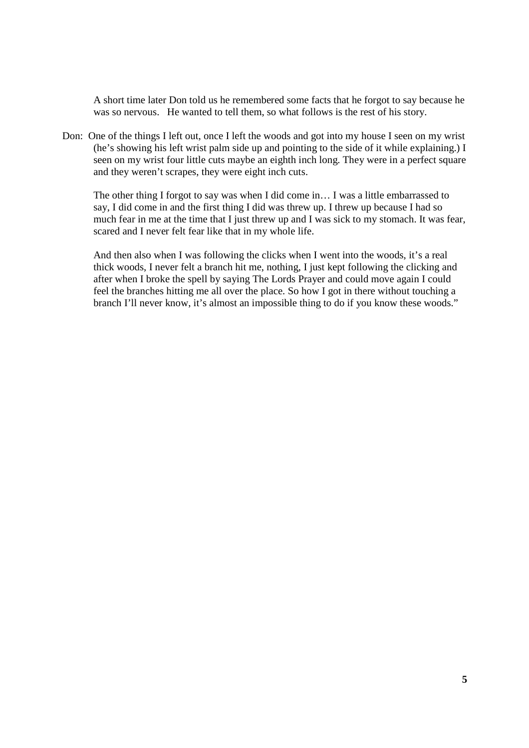A short time later Don told us he remembered some facts that he forgot to say because he was so nervous. He wanted to tell them, so what follows is the rest of his story.

Don: One of the things I left out, once I left the woods and got into my house I seen on my wrist (he's showing his left wrist palm side up and pointing to the side of it while explaining.) I seen on my wrist four little cuts maybe an eighth inch long. They were in a perfect square and they weren't scrapes, they were eight inch cuts.

The other thing I forgot to say was when I did come in… I was a little embarrassed to say, I did come in and the first thing I did was threw up. I threw up because I had so much fear in me at the time that I just threw up and I was sick to my stomach. It was fear, scared and I never felt fear like that in my whole life.

And then also when I was following the clicks when I went into the woods, it's a real thick woods, I never felt a branch hit me, nothing, I just kept following the clicking and after when I broke the spell by saying The Lords Prayer and could move again I could feel the branches hitting me all over the place. So how I got in there without touching a branch I'll never know, it's almost an impossible thing to do if you know these woods."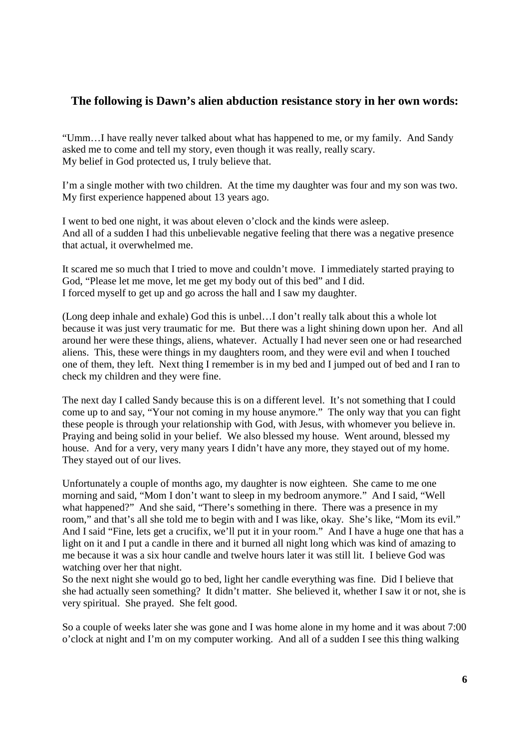## **The following is Dawn's alien abduction resistance story in her own words:**

"Umm…I have really never talked about what has happened to me, or my family. And Sandy asked me to come and tell my story, even though it was really, really scary. My belief in God protected us, I truly believe that.

I'm a single mother with two children. At the time my daughter was four and my son was two. My first experience happened about 13 years ago.

I went to bed one night, it was about eleven o'clock and the kinds were asleep. And all of a sudden I had this unbelievable negative feeling that there was a negative presence that actual, it overwhelmed me.

It scared me so much that I tried to move and couldn't move. I immediately started praying to God, "Please let me move, let me get my body out of this bed" and I did. I forced myself to get up and go across the hall and I saw my daughter.

(Long deep inhale and exhale) God this is unbel…I don't really talk about this a whole lot because it was just very traumatic for me. But there was a light shining down upon her. And all around her were these things, aliens, whatever. Actually I had never seen one or had researched aliens. This, these were things in my daughters room, and they were evil and when I touched one of them, they left. Next thing I remember is in my bed and I jumped out of bed and I ran to check my children and they were fine.

The next day I called Sandy because this is on a different level. It's not something that I could come up to and say, "Your not coming in my house anymore." The only way that you can fight these people is through your relationship with God, with Jesus, with whomever you believe in. Praying and being solid in your belief. We also blessed my house. Went around, blessed my house. And for a very, very many years I didn't have any more, they stayed out of my home. They stayed out of our lives.

Unfortunately a couple of months ago, my daughter is now eighteen. She came to me one morning and said, "Mom I don't want to sleep in my bedroom anymore." And I said, "Well what happened?" And she said, "There's something in there. There was a presence in my room," and that's all she told me to begin with and I was like, okay. She's like, "Mom its evil." And I said "Fine, lets get a crucifix, we'll put it in your room." And I have a huge one that has a light on it and I put a candle in there and it burned all night long which was kind of amazing to me because it was a six hour candle and twelve hours later it was still lit. I believe God was watching over her that night.

So the next night she would go to bed, light her candle everything was fine. Did I believe that she had actually seen something? It didn't matter. She believed it, whether I saw it or not, she is very spiritual. She prayed. She felt good.

So a couple of weeks later she was gone and I was home alone in my home and it was about 7:00 o'clock at night and I'm on my computer working. And all of a sudden I see this thing walking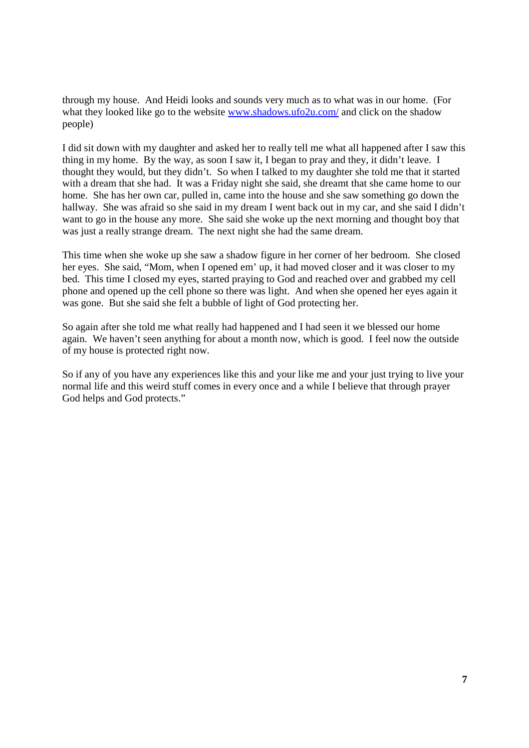through my house. And Heidi looks and sounds very much as to what was in our home. (For what they looked like go to the website www.shadows.ufo2u.com/ and click on the shadow people)

I did sit down with my daughter and asked her to really tell me what all happened after I saw this thing in my home. By the way, as soon I saw it, I began to pray and they, it didn't leave. I thought they would, but they didn't. So when I talked to my daughter she told me that it started with a dream that she had. It was a Friday night she said, she dreamt that she came home to our home. She has her own car, pulled in, came into the house and she saw something go down the hallway. She was afraid so she said in my dream I went back out in my car, and she said I didn't want to go in the house any more. She said she woke up the next morning and thought boy that was just a really strange dream. The next night she had the same dream.

This time when she woke up she saw a shadow figure in her corner of her bedroom. She closed her eyes. She said, "Mom, when I opened em' up, it had moved closer and it was closer to my bed. This time I closed my eyes, started praying to God and reached over and grabbed my cell phone and opened up the cell phone so there was light. And when she opened her eyes again it was gone. But she said she felt a bubble of light of God protecting her.

So again after she told me what really had happened and I had seen it we blessed our home again. We haven't seen anything for about a month now, which is good. I feel now the outside of my house is protected right now.

So if any of you have any experiences like this and your like me and your just trying to live your normal life and this weird stuff comes in every once and a while I believe that through prayer God helps and God protects."